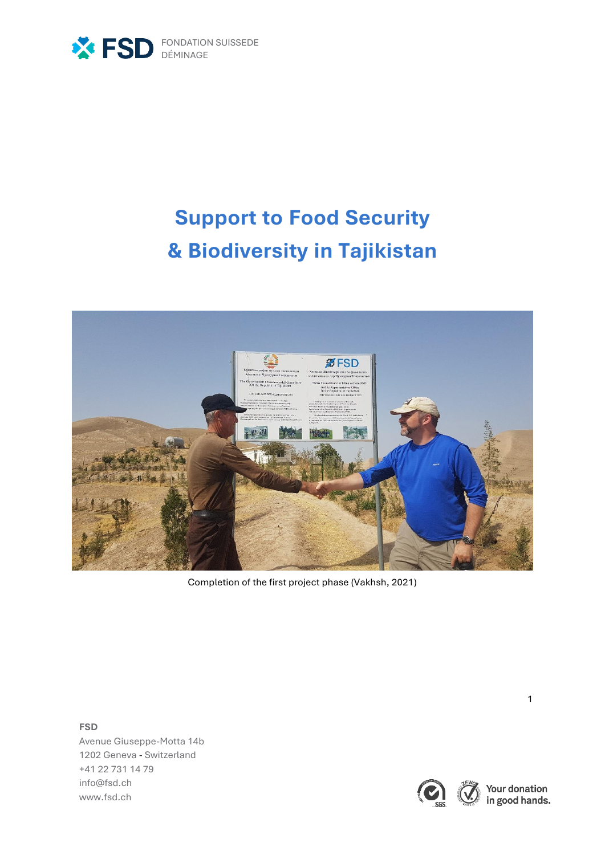

# **Support to Food Security & Biodiversity in Tajikistan**



Completion of the first project phase (Vakhsh, 2021)

**FSD**

Avenue Giuseppe-Motta 14b 1202 Geneva - Switzerland +41 22 731 14 79 [info@fsd.ch](mailto:info@fsd.ch) [www.fsd.ch](http://www.fsd.ch/)



Your donation<br>in good hands.

1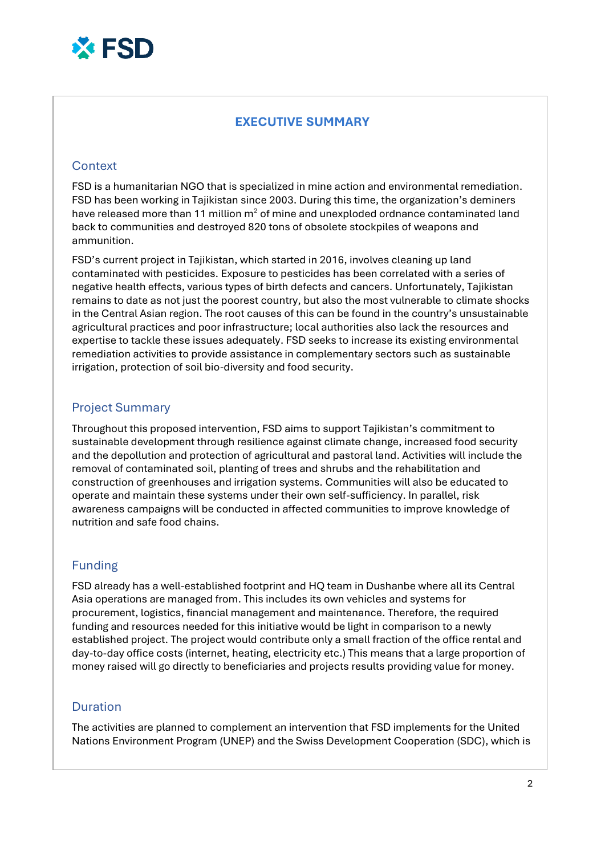

## **EXECUTIVE SUMMARY**

#### **Context**

FSD is a humanitarian NGO that is specialized in mine action and environmental remediation. FSD has been working in Tajikistan since 2003. During this time, the organization's deminers have released more than 11 million  $m<sup>2</sup>$  of mine and unexploded ordnance contaminated land back to communities and destroyed 820 tons of obsolete stockpiles of weapons and ammunition.

FSD's current project in Tajikistan, which started in 2016, involves cleaning up land contaminated with pesticides. Exposure to pesticides has been correlated with a series of negative health effects, various types of birth defects and cancers. Unfortunately, Tajikistan remains to date as not just the poorest country, but also the most vulnerable to climate shocks in the Central Asian region. The root causes of this can be found in the country's unsustainable agricultural practices and poor infrastructure; local authorities also lack the resources and expertise to tackle these issues adequately. FSD seeks to increase its existing environmental remediation activities to provide assistance in complementary sectors such as sustainable irrigation, protection of soil bio-diversity and food security.

#### Project Summary

Throughout this proposed intervention, FSD aims to support Tajikistan's commitment to sustainable development through resilience against climate change, increased food security and the depollution and protection of agricultural and pastoral land. Activities will include the removal of contaminated soil, planting of trees and shrubs and the rehabilitation and construction of greenhouses and irrigation systems. Communities will also be educated to operate and maintain these systems under their own self-sufficiency. In parallel, risk awareness campaigns will be conducted in affected communities to improve knowledge of nutrition and safe food chains.

#### Funding

FSD already has a well-established footprint and HQ team in Dushanbe where all its Central Asia operations are managed from. This includes its own vehicles and systems for procurement, logistics, financial management and maintenance. Therefore, the required funding and resources needed for this initiative would be light in comparison to a newly established project. The project would contribute only a small fraction of the office rental and day-to-day office costs (internet, heating, electricity etc.) This means that a large proportion of money raised will go directly to beneficiaries and projects results providing value for money.

#### Duration

The activities are planned to complement an intervention that FSD implements for the United Nations Environment Program (UNEP) and the Swiss Development Cooperation (SDC), which is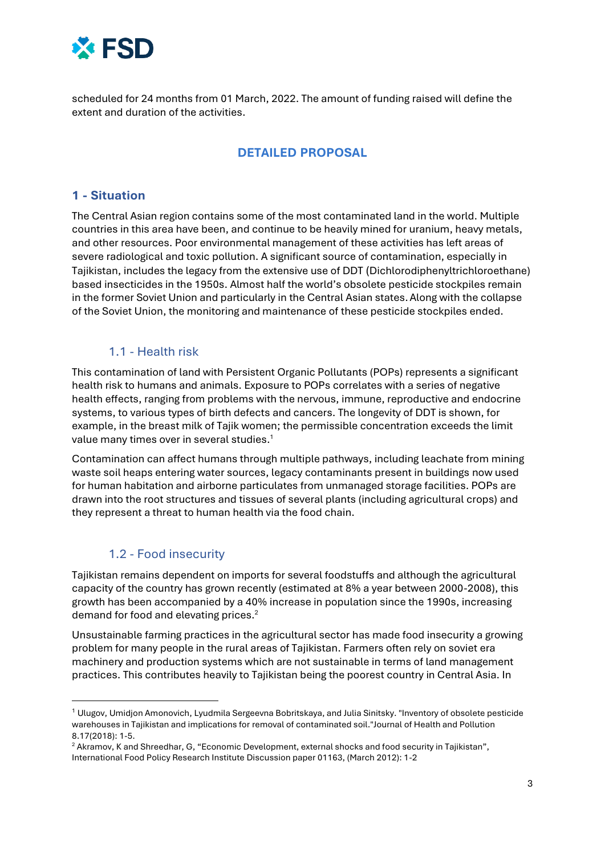

scheduled for 24 months from 01 March, 2022. The amount of funding raised will define the extent and duration of the activities.

# **DETAILED PROPOSAL**

#### **1 - Situation**

The Central Asian region contains some of the most contaminated land in the world. Multiple countries in this area have been, and continue to be heavily mined for uranium, heavy metals, and other resources. Poor environmental management of these activities has left areas of severe radiological and toxic pollution. A significant source of contamination, especially in Tajikistan, includes the legacy from the extensive use of DDT (Dichlorodiphenyltrichloroethane) based insecticides in the 1950s. Almost half the world's obsolete pesticide stockpiles remain in the former Soviet Union and particularly in the Central Asian states. Along with the collapse of the Soviet Union, the monitoring and maintenance of these pesticide stockpiles ended.

#### 1.1 - Health risk

This contamination of land with Persistent Organic Pollutants (POPs) represents a significant health risk to humans and animals. Exposure to POPs correlates with a series of negative health effects, ranging from problems with the nervous, immune, reproductive and endocrine systems, to various types of birth defects and cancers. The longevity of DDT is shown, for example, in the breast milk of Tajik women; the permissible concentration exceeds the limit value many times over in several studies. $^{\rm 1}$ 

Contamination can affect humans through multiple pathways, including leachate from mining waste soil heaps entering water sources, legacy contaminants present in buildings now used for human habitation and airborne particulates from unmanaged storage facilities. POPs are drawn into the root structures and tissues of several plants (including agricultural crops) and they represent a threat to human health via the food chain.

#### 1.2 - Food insecurity

1

Tajikistan remains dependent on imports for several foodstuffs and although the agricultural capacity of the country has grown recently (estimated at 8% a year between 2000-2008), this growth has been accompanied by a 40% increase in population since the 1990s, increasing demand for food and elevating prices.<sup>2</sup>

Unsustainable farming practices in the agricultural sector has made food insecurity a growing problem for many people in the rural areas of Tajikistan. Farmers often rely on soviet era machinery and production systems which are not sustainable in terms of land management practices. This contributes heavily to Tajikistan being the poorest country in Central Asia. In

 $^1$  Ulugov, Umidjon Amonovich, Lyudmila Sergeevna Bobritskaya, and Julia Sinitsky. "Inventory of obsolete pesticide warehouses in Tajikistan and implications for removal of contaminated soil."Journal of Health and Pollution 8.17(2018): 1-5.

<sup>2</sup> Akramov, K and Shreedhar, G, "Economic Development, external shocks and food security in Tajikistan", International Food Policy Research Institute Discussion paper 01163, (March 2012): 1-2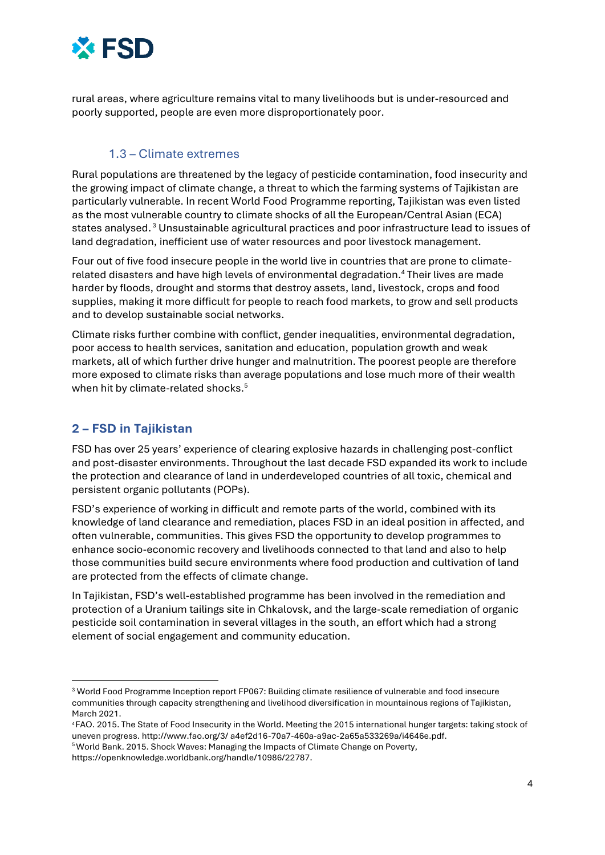

rural areas, where agriculture remains vital to many livelihoods but is under-resourced and poorly supported, people are even more disproportionately poor.

### 1.3 – Climate extremes

Rural populations are threatened by the legacy of pesticide contamination, food insecurity and the growing impact of climate change, a threat to which the farming systems of Tajikistan are particularly vulnerable. In recent World Food Programme reporting, Tajikistan was even listed as the most vulnerable country to climate shocks of all the European/Central Asian (ECA) states analysed. <sup>3</sup> Unsustainable agricultural practices and poor infrastructure lead to issues of land degradation, inefficient use of water resources and poor livestock management.

Four out of five food insecure people in the world live in countries that are prone to climaterelated disasters and have high levels of environmental degradation.<sup>4</sup> Their lives are made harder by floods, drought and storms that destroy assets, land, livestock, crops and food supplies, making it more difficult for people to reach food markets, to grow and sell products and to develop sustainable social networks.

Climate risks further combine with conflict, gender inequalities, environmental degradation, poor access to health services, sanitation and education, population growth and weak markets, all of which further drive hunger and malnutrition. The poorest people are therefore more exposed to climate risks than average populations and lose much more of their wealth when hit by climate-related shocks.<sup>5</sup>

# **2 – FSD in Tajikistan**

1

FSD has over 25 years' experience of clearing explosive hazards in challenging post-conflict and post-disaster environments. Throughout the last decade FSD expanded its work to include the protection and clearance of land in underdeveloped countries of all toxic, chemical and persistent organic pollutants (POPs).

FSD's experience of working in difficult and remote parts of the world, combined with its knowledge of land clearance and remediation, places FSD in an ideal position in affected, and often vulnerable, communities. This gives FSD the opportunity to develop programmes to enhance socio-economic recovery and livelihoods connected to that land and also to help those communities build secure environments where food production and cultivation of land are protected from the effects of climate change.

In Tajikistan, FSD's well-established programme has been involved in the remediation and protection of a Uranium tailings site in Chkalovsk, and the large-scale remediation of organic pesticide soil contamination in several villages in the south, an effort which had a strong element of social engagement and community education.

<sup>3</sup> World Food Programme Inception report FP067: Building climate resilience of vulnerable and food insecure communities through capacity strengthening and livelihood diversification in mountainous regions of Tajikistan, March 2021.

<sup>4</sup> FAO. 2015. The State of Food Insecurity in the World. Meeting the 2015 international hunger targets: taking stock of uneven progress. http://www.fao.org/3/ a4ef2d16-70a7-460a-a9ac-2a65a533269a/i4646e.pdf.

<sup>5</sup>World Bank. 2015. Shock Waves: Managing the Impacts of Climate Change on Poverty, https://openknowledge.worldbank.org/handle/10986/22787.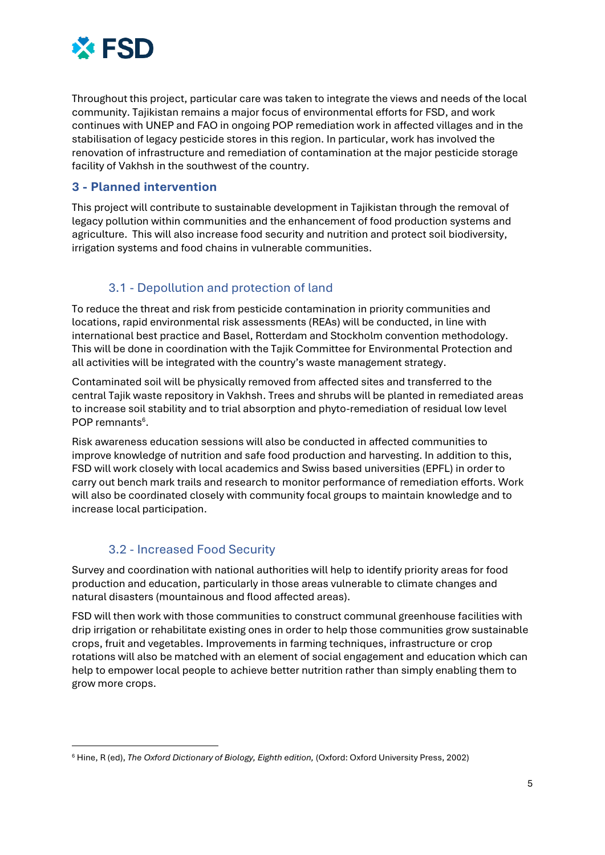

Throughout this project, particular care was taken to integrate the views and needs of the local community. Tajikistan remains a major focus of environmental efforts for FSD, and work continues with UNEP and FAO in ongoing POP remediation work in affected villages and in the stabilisation of legacy pesticide stores in this region. In particular, work has involved the renovation of infrastructure and remediation of contamination at the major pesticide storage facility of Vakhsh in the southwest of the country.

#### **3 - Planned intervention**

This project will contribute to sustainable development in Tajikistan through the removal of legacy pollution within communities and the enhancement of food production systems and agriculture. This will also increase food security and nutrition and protect soil biodiversity, irrigation systems and food chains in vulnerable communities.

# 3.1 - Depollution and protection of land

To reduce the threat and risk from pesticide contamination in priority communities and locations, rapid environmental risk assessments (REAs) will be conducted, in line with international best practice and Basel, Rotterdam and Stockholm convention methodology. This will be done in coordination with the Tajik Committee for Environmental Protection and all activities will be integrated with the country's waste management strategy.

Contaminated soil will be physically removed from affected sites and transferred to the central Tajik waste repository in Vakhsh. Trees and shrubs will be planted in remediated areas to increase soil stability and to trial absorption and phyto-remediation of residual low level POP remnants<sup>6</sup>.

Risk awareness education sessions will also be conducted in affected communities to improve knowledge of nutrition and safe food production and harvesting. In addition to this, FSD will work closely with local academics and Swiss based universities (EPFL) in order to carry out bench mark trails and research to monitor performance of remediation efforts. Work will also be coordinated closely with community focal groups to maintain knowledge and to increase local participation.

#### 3.2 - Increased Food Security

1

Survey and coordination with national authorities will help to identify priority areas for food production and education, particularly in those areas vulnerable to climate changes and natural disasters (mountainous and flood affected areas).

FSD will then work with those communities to construct communal greenhouse facilities with drip irrigation or rehabilitate existing ones in order to help those communities grow sustainable crops, fruit and vegetables. Improvements in farming techniques, infrastructure or crop rotations will also be matched with an element of social engagement and education which can help to empower local people to achieve better nutrition rather than simply enabling them to grow more crops.

<sup>6</sup> Hine, R (ed), *The Oxford Dictionary of Biology, Eighth edition,* (Oxford: Oxford University Press, 2002)